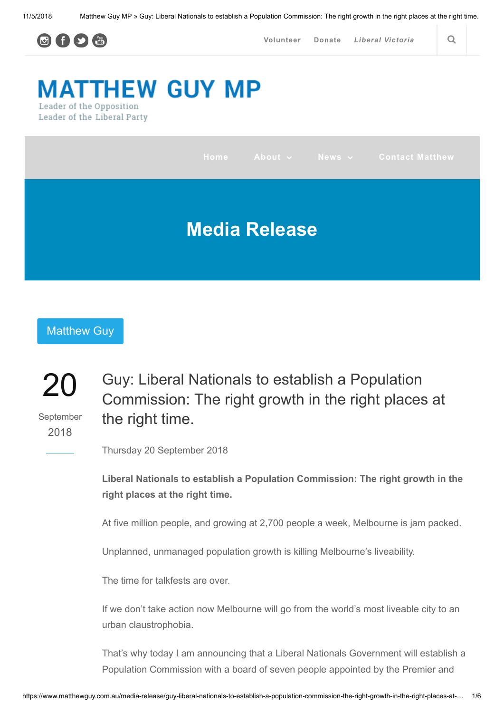

[Volunteer](https://members.vic.liberal.org.au/volunteer) [Donate](https://donate.vic.liberal.org.au/matthewguy) Liberal [Victoria](http://vic.liberal.org.au/) | Q

# **MATTHEW GUY MP** Leader of the Opposition

Leader of the Liberal Party

|                      |  |  |  |  | Home About v News v Contact Matthew |  |
|----------------------|--|--|--|--|-------------------------------------|--|
| <b>Media Release</b> |  |  |  |  |                                     |  |

## [Matthew Guy](https://www.matthewguy.com.au/tag/matthew-guy/)

### 20 September 2018 Guy: Liberal Nationals to establish a Population Commission: The right growth in the right places at the right time.

Thursday 20 September 2018

Liberal Nationals to establish a Population Commission: The right growth in the right places at the right time.

At five million people, and growing at 2,700 people a week, Melbourne is jam packed.

Unplanned, unmanaged population growth is killing Melbourne's liveability.

The time for talkfests are over.

If we don't take action now Melbourne will go from the world's most liveable city to an urban claustrophobia.

That's why today I am announcing that a Liberal Nationals Government will establish a Population Commission with a board of seven people appointed by the Premier and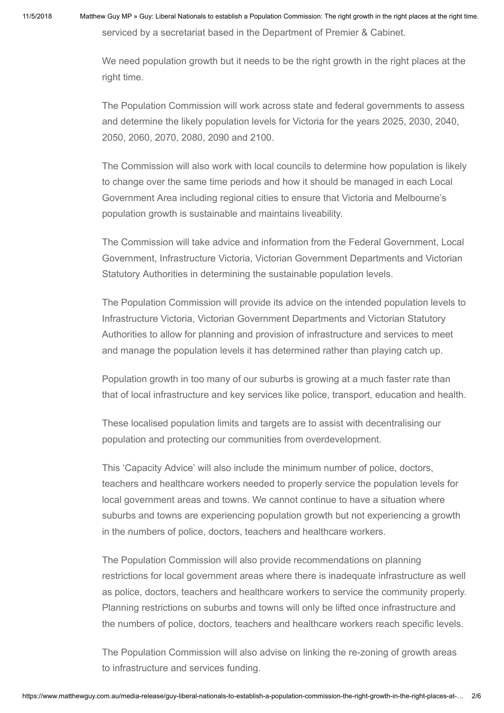serviced by a secretariat based in the Department of Premier & Cabinet.

We need population growth but it needs to be the right growth in the right places at the right time.

The Population Commission will work across state and federal governments to assess and determine the likely population levels for Victoria for the years 2025, 2030, 2040, 2050, 2060, 2070, 2080, 2090 and 2100.

The Commission will also work with local councils to determine how population is likely to change over the same time periods and how it should be managed in each Local Government Area including regional cities to ensure that Victoria and Melbourne's population growth is sustainable and maintains liveability.

The Commission will take advice and information from the Federal Government, Local Government, Infrastructure Victoria, Victorian Government Departments and Victorian Statutory Authorities in determining the sustainable population levels.

The Population Commission will provide its advice on the intended population levels to Infrastructure Victoria, Victorian Government Departments and Victorian Statutory Authorities to allow for planning and provision of infrastructure and services to meet and manage the population levels it has determined rather than playing catch up.

Population growth in too many of our suburbs is growing at a much faster rate than that of local infrastructure and key services like police, transport, education and health.

These localised population limits and targets are to assist with decentralising our population and protecting our communities from overdevelopment.

This 'Capacity Advice' will also include the minimum number of police, doctors, teachers and healthcare workers needed to properly service the population levels for local government areas and towns. We cannot continue to have a situation where suburbs and towns are experiencing population growth but not experiencing a growth in the numbers of police, doctors, teachers and healthcare workers.

The Population Commission will also provide recommendations on planning restrictions for local government areas where there is inadequate infrastructure as well as police, doctors, teachers and healthcare workers to service the community properly. Planning restrictions on suburbs and towns will only be lifted once infrastructure and the numbers of police, doctors, teachers and healthcare workers reach specific levels.

The Population Commission will also advise on linking the re-zoning of growth areas to infrastructure and services funding.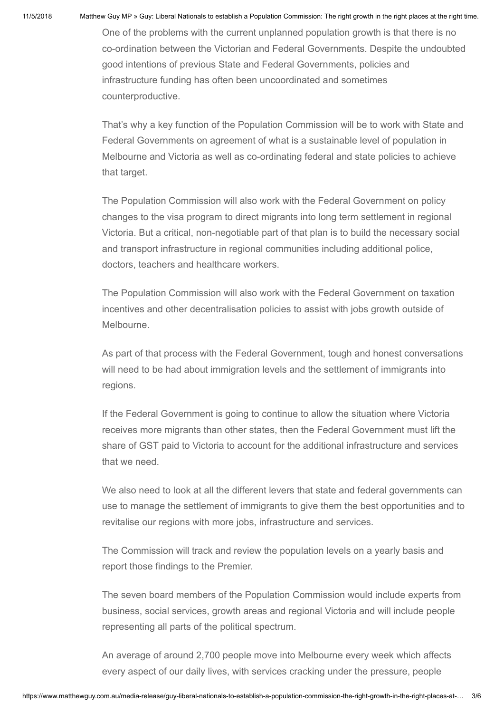One of the problems with the current unplanned population growth is that there is no co-ordination between the Victorian and Federal Governments. Despite the undoubted good intentions of previous State and Federal Governments, policies and infrastructure funding has often been uncoordinated and sometimes counterproductive.

That's why a key function of the Population Commission will be to work with State and Federal Governments on agreement of what is a sustainable level of population in Melbourne and Victoria as well as co-ordinating federal and state policies to achieve that target.

The Population Commission will also work with the Federal Government on policy changes to the visa program to direct migrants into long term settlement in regional Victoria. But a critical, non-negotiable part of that plan is to build the necessary social and transport infrastructure in regional communities including additional police, doctors, teachers and healthcare workers.

The Population Commission will also work with the Federal Government on taxation incentives and other decentralisation policies to assist with jobs growth outside of Melbourne.

As part of that process with the Federal Government, tough and honest conversations will need to be had about immigration levels and the settlement of immigrants into regions.

If the Federal Government is going to continue to allow the situation where Victoria receives more migrants than other states, then the Federal Government must lift the share of GST paid to Victoria to account for the additional infrastructure and services that we need.

We also need to look at all the different levers that state and federal governments can use to manage the settlement of immigrants to give them the best opportunities and to revitalise our regions with more jobs, infrastructure and services.

The Commission will track and review the population levels on a yearly basis and report those findings to the Premier.

The seven board members of the Population Commission would include experts from business, social services, growth areas and regional Victoria and will include people representing all parts of the political spectrum.

An average of around 2,700 people move into Melbourne every week which affects every aspect of our daily lives, with services cracking under the pressure, people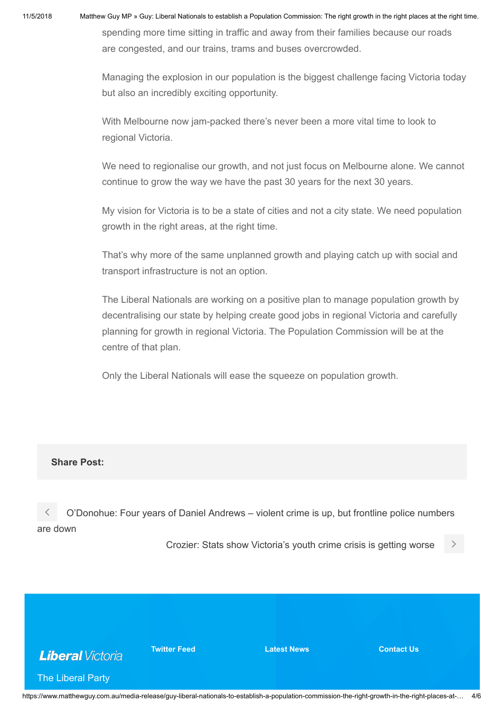spending more time sitting in traffic and away from their families because our roads are congested, and our trains, trams and buses overcrowded.

Managing the explosion in our population is the biggest challenge facing Victoria today but also an incredibly exciting opportunity.

With Melbourne now jam-packed there's never been a more vital time to look to regional Victoria.

We need to regionalise our growth, and not just focus on Melbourne alone. We cannot continue to grow the way we have the past 30 years for the next 30 years.

My vision for Victoria is to be a state of cities and not a city state. We need population growth in the right areas, at the right time.

That's why more of the same unplanned growth and playing catch up with social and transport infrastructure is not an option.

The Liberal Nationals are working on a positive plan to manage population growth by decentralising our state by helping create good jobs in regional Victoria and carefully planning for growth in regional Victoria. The Population Commission will be at the centre of that plan.

Only the Liberal Nationals will ease the squeeze on population growth.

## Share Post:

 [O'Donohue: Four years of Daniel Andrews – violent crime is up, but frontline police numbers](https://www.matthewguy.com.au/media-release/odonohue-four-years-of-daniel-andrews-violent-crime-is-up-but-frontline-police-numbers-are-down/) are down

[Crozier: Stats show Victoria's youth crime crisis is getting worse](https://www.matthewguy.com.au/media-release/crozier-stats-show-victorias-youth-crime-crisis-is-getting-worse/)



**Twitter Feed Latest News Contact Us Contact Us** 

The Liberal Party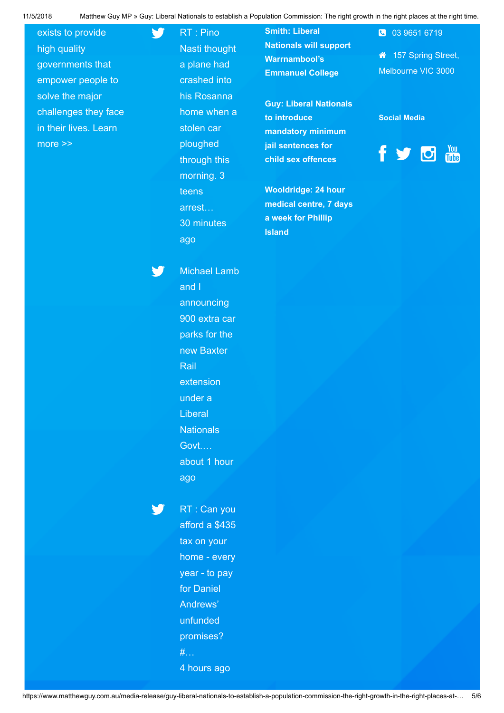## exists to provide high quality governments that empower people to solve the major challenges they face [in their lives. Learn](https://vic.liberal.org.au/) more >>

RT : Pino Nasti thought a plane had crashed into his Rosanna home when a stolen car ploughed through this morning. 3 teens arrest… [30 minutes](http://twitter.com/MatthewGuyMP/statuses/1059249491772039168) ago

 $\blacktriangleright$ 

W

Smith: Liberal [Nationals will support](https://www.matthewguy.com.au/media-release/smith-liberal-nationals-will-support-warrnambools-emmanuel-college/) Warrnambool's Emmanuel College

[Guy: Liberal Nationals](https://www.matthewguy.com.au/media-release/guy-liberal-nationals-to-introduce-mandatory-minimum-jail-sentences-for-child-sex-offences/) to introduce mandatory minimum jail sentences for child sex offences

Wooldridge: 24 hour [medical centre, 7 days](https://www.matthewguy.com.au/media-release/wooldridge-24-hour-medical-centre-7-days-a-week-for-phillip-island/) a week for Phillip Island

 157 Spring Street, Melbourne VIC 3000

03 9651 6719

#### Social Media



Michael Lamb and I announcing 900 extra car parks for the new Baxter **Rail** extension under a Liberal **Nationals** Govt.… [about 1 hour](http://twitter.com/MatthewGuyMP/statuses/1059237966927716353) ago

Y. RT : Can you afford a \$435 tax on your home - every year - to pay for Daniel Andrews' unfunded promises? #… [4 hours ago](http://twitter.com/MatthewGuyMP/statuses/1059189113834754049)